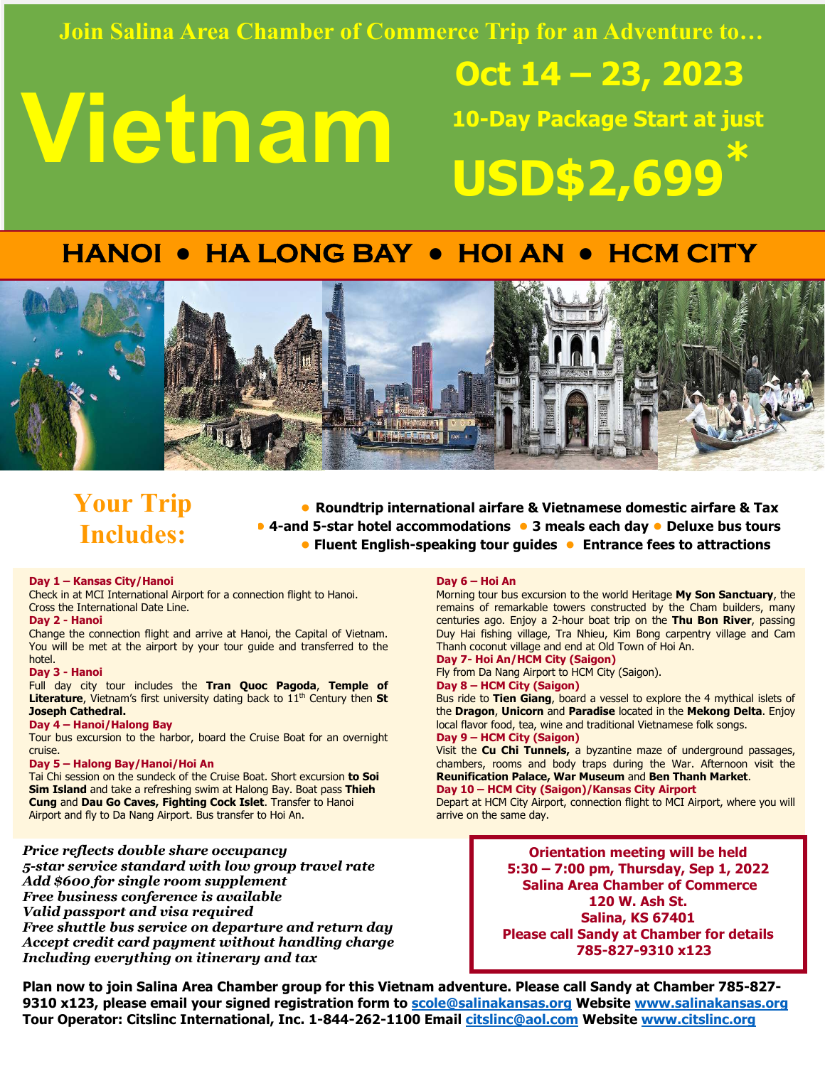### **Join Salina Area Chamber of Commerce Trip for an Adventure to…**

# **Vietnam**

 **Oct 14 – 23, 2023 10-Day Package Start at just USD\$2,699\***

# **HANOI ● HA LONG BAY ● HOI AN ● HCM CITY**



## **Your Trip Includes:**

**● Roundtrip international airfare & Vietnamese domestic airfare & Tax ● 4-and 5-star hotel accommodations ● 3 meals each day ● Deluxe bus tours ● Fluent English-speaking tour guides ● Entrance fees to attractions** 

#### **Day 1 – Kansas City/Hanoi**

Check in at MCI International Airport for a connection flight to Hanoi. Cross the International Date Line.

#### **Day 2 - Hanoi**

Change the connection flight and arrive at Hanoi, the Capital of Vietnam. You will be met at the airport by your tour guide and transferred to the hotel.

#### **Day 3 - Hanoi**

Full day city tour includes the **Tran Quoc Pagoda**, **Temple of Literature**, Vietnam's first university dating back to 11<sup>th</sup> Century then St **Joseph Cathedral.** 

#### **Day 4 – Hanoi/Halong Bay**

Tour bus excursion to the harbor, board the Cruise Boat for an overnight cruise.

#### **Day 5 – Halong Bay/Hanoi/Hoi An**

Tai Chi session on the sundeck of the Cruise Boat. Short excursion **to Soi Sim Island** and take a refreshing swim at Halong Bay. Boat pass **Thieh Cung** and **Dau Go Caves, Fighting Cock Islet**. Transfer to Hanoi Airport and fly to Da Nang Airport. Bus transfer to Hoi An.

#### *Price reflects double share occupancy*

*5-star service standard with low group travel rate Add \$600 for single room supplement Free business conference is available Valid passport and visa required Free shuttle bus service on departure and return day Accept credit card payment without handling charge Including everything on itinerary and tax* 

#### **Day 6 – Hoi An**

Morning tour bus excursion to the world Heritage **My Son Sanctuary**, the remains of remarkable towers constructed by the Cham builders, many centuries ago. Enjoy a 2-hour boat trip on the **Thu Bon River**, passing Duy Hai fishing village, Tra Nhieu, Kim Bong carpentry village and Cam Thanh coconut village and end at Old Town of Hoi An.

#### **Day 7- Hoi An/HCM City (Saigon)**

Fly from Da Nang Airport to HCM City (Saigon).

**Day 8 – HCM City (Saigon)** 

Bus ride to **Tien Giang**, board a vessel to explore the 4 mythical islets of the **Dragon**, **Unicorn** and **Paradise** located in the **Mekong Delta**. Enjoy local flavor food, tea, wine and traditional Vietnamese folk songs. **Day 9 – HCM City (Saigon)** 

Visit the **Cu Chi Tunnels,** a byzantine maze of underground passages, chambers, rooms and body traps during the War. Afternoon visit the **Reunification Palace, War Museum** and **Ben Thanh Market**. **Day 10 – HCM City (Saigon)/Kansas City Airport** 

Depart at HCM City Airport, connection flight to MCI Airport, where you will arrive on the same day.

> **Orientation meeting will be held 5:30 – 7:00 pm, Thursday, Sep 1, 2022 Salina Area Chamber of Commerce 120 W. Ash St. Salina, KS 67401 Please call Sandy at Chamber for details 785-827-9310 x123**

**Plan now to join Salina Area Chamber group for this Vietnam adventure. Please call Sandy at Chamber 785-827- 9310 x123, please email your signed registration form to scole@salinakansas.org Website www.salinakansas.org Tour Operator: Citslinc International, Inc. 1-844-262-1100 Email citslinc@aol.com Website www.citslinc.org**